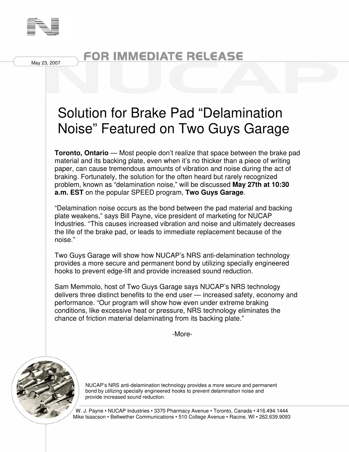

May 23, 2007

## FOR IMMEDIATE RELEASE

## Solution for Brake Pad "Delamination Noise" Featured on Two Guys Garage

**Toronto, Ontario** — Most people don't realize that space between the brake pad material and its backing plate, even when it's no thicker than a piece of writing paper, can cause tremendous amounts of vibration and noise during the act of braking. Fortunately, the solution for the often heard but rarely recognized problem, known as "delamination noise," will be discussed **May 27th at 10:30 a.m. EST** on the popular SPEED program, **Two Guys Garage**.

"Delamination noise occurs as the bond between the pad material and backing plate weakens," says Bill Payne, vice president of marketing for NUCAP Industries. "This causes increased vibration and noise and ultimately decreases the life of the brake pad, or leads to immediate replacement because of the noise."

Two Guys Garage will show how NUCAP's NRS anti-delamination technology provides a more secure and permanent bond by utilizing specially engineered hooks to prevent edge-lift and provide increased sound reduction.

Sam Memmolo, host of Two Guys Garage says NUCAP's NRS technology delivers three distinct benefits to the end user — increased safety, economy and performance. "Our program will show how even under extreme braking conditions, like excessive heat or pressure, NRS technology eliminates the chance of friction material delaminating from its backing plate."

-More-



NUCAP's NRS anti-delamination technology provides a more secure and permanent bond by utilizing specially engineered hooks to prevent delamination noise and provide increased sound reduction.

W. J. Payne • NUCAP Industries • 3370 Pharmacy Avenue • Toronto, Canada • 416.494.1444 Mike Isaacson • Bellwether Communications • 510 College Avenue • Racine, WI • 262.639.9093